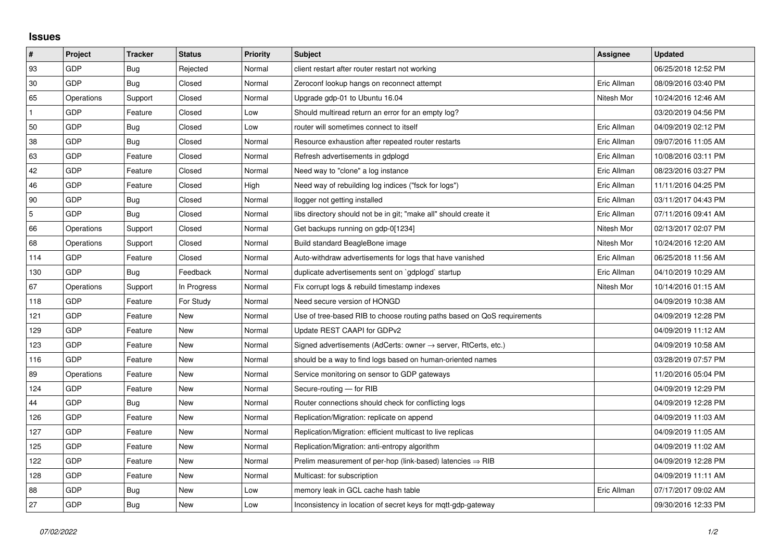## **Issues**

| #   | Project    | <b>Tracker</b> | <b>Status</b> | <b>Priority</b> | <b>Subject</b>                                                             | Assignee    | <b>Updated</b>      |
|-----|------------|----------------|---------------|-----------------|----------------------------------------------------------------------------|-------------|---------------------|
| 93  | GDP        | <b>Bug</b>     | Rejected      | Normal          | client restart after router restart not working                            |             | 06/25/2018 12:52 PM |
| 30  | GDP        | Bug            | Closed        | Normal          | Zeroconf lookup hangs on reconnect attempt                                 | Eric Allman | 08/09/2016 03:40 PM |
| 65  | Operations | Support        | Closed        | Normal          | Upgrade gdp-01 to Ubuntu 16.04                                             | Nitesh Mor  | 10/24/2016 12:46 AM |
|     | GDP        | Feature        | Closed        | Low             | Should multiread return an error for an empty log?                         |             | 03/20/2019 04:56 PM |
| 50  | GDP        | <b>Bug</b>     | Closed        | Low             | router will sometimes connect to itself                                    | Eric Allman | 04/09/2019 02:12 PM |
| 38  | GDP        | Bug            | Closed        | Normal          | Resource exhaustion after repeated router restarts                         | Eric Allman | 09/07/2016 11:05 AM |
| 63  | GDP        | Feature        | Closed        | Normal          | Refresh advertisements in gdplogd                                          | Eric Allman | 10/08/2016 03:11 PM |
| 42  | GDP        | Feature        | Closed        | Normal          | Need way to "clone" a log instance                                         | Eric Allman | 08/23/2016 03:27 PM |
| 46  | <b>GDP</b> | Feature        | Closed        | High            | Need way of rebuilding log indices ("fsck for logs")                       | Eric Allman | 11/11/2016 04:25 PM |
| 90  | GDP        | Bug            | Closed        | Normal          | llogger not getting installed                                              | Eric Allman | 03/11/2017 04:43 PM |
| 5   | <b>GDP</b> | Bug            | Closed        | Normal          | libs directory should not be in git; "make all" should create it           | Eric Allman | 07/11/2016 09:41 AM |
| 66  | Operations | Support        | Closed        | Normal          | Get backups running on gdp-0[1234]                                         | Nitesh Mor  | 02/13/2017 02:07 PM |
| 68  | Operations | Support        | Closed        | Normal          | Build standard BeagleBone image                                            | Nitesh Mor  | 10/24/2016 12:20 AM |
| 114 | GDP        | Feature        | Closed        | Normal          | Auto-withdraw advertisements for logs that have vanished                   | Eric Allman | 06/25/2018 11:56 AM |
| 130 | GDP        | Bug            | Feedback      | Normal          | duplicate advertisements sent on `gdplogd` startup                         | Eric Allman | 04/10/2019 10:29 AM |
| 67  | Operations | Support        | In Progress   | Normal          | Fix corrupt logs & rebuild timestamp indexes                               | Nitesh Mor  | 10/14/2016 01:15 AM |
| 118 | GDP        | Feature        | For Study     | Normal          | Need secure version of HONGD                                               |             | 04/09/2019 10:38 AM |
| 121 | GDP        | Feature        | New           | Normal          | Use of tree-based RIB to choose routing paths based on QoS requirements    |             | 04/09/2019 12:28 PM |
| 129 | GDP        | Feature        | New           | Normal          | Update REST CAAPI for GDPv2                                                |             | 04/09/2019 11:12 AM |
| 123 | GDP        | Feature        | New           | Normal          | Signed advertisements (AdCerts: owner $\rightarrow$ server, RtCerts, etc.) |             | 04/09/2019 10:58 AM |
| 116 | GDP        | Feature        | New           | Normal          | should be a way to find logs based on human-oriented names                 |             | 03/28/2019 07:57 PM |
| 89  | Operations | Feature        | New           | Normal          | Service monitoring on sensor to GDP gateways                               |             | 11/20/2016 05:04 PM |
| 124 | GDP        | Feature        | New           | Normal          | Secure-routing — for RIB                                                   |             | 04/09/2019 12:29 PM |
| 44  | GDP        | Bug            | New           | Normal          | Router connections should check for conflicting logs                       |             | 04/09/2019 12:28 PM |
| 126 | GDP        | Feature        | <b>New</b>    | Normal          | Replication/Migration: replicate on append                                 |             | 04/09/2019 11:03 AM |
| 127 | GDP        | Feature        | New           | Normal          | Replication/Migration: efficient multicast to live replicas                |             | 04/09/2019 11:05 AM |
| 125 | GDP        | Feature        | New           | Normal          | Replication/Migration: anti-entropy algorithm                              |             | 04/09/2019 11:02 AM |
| 122 | GDP        | Feature        | New           | Normal          | Prelim measurement of per-hop (link-based) latencies $\Rightarrow$ RIB     |             | 04/09/2019 12:28 PM |
| 128 | GDP        | Feature        | New           | Normal          | Multicast: for subscription                                                |             | 04/09/2019 11:11 AM |
| 88  | GDP        | Bug            | New           | Low             | memory leak in GCL cache hash table                                        | Eric Allman | 07/17/2017 09:02 AM |
| 27  | GDP        | <b>Bug</b>     | New           | Low             | Inconsistency in location of secret keys for mqtt-gdp-gateway              |             | 09/30/2016 12:33 PM |